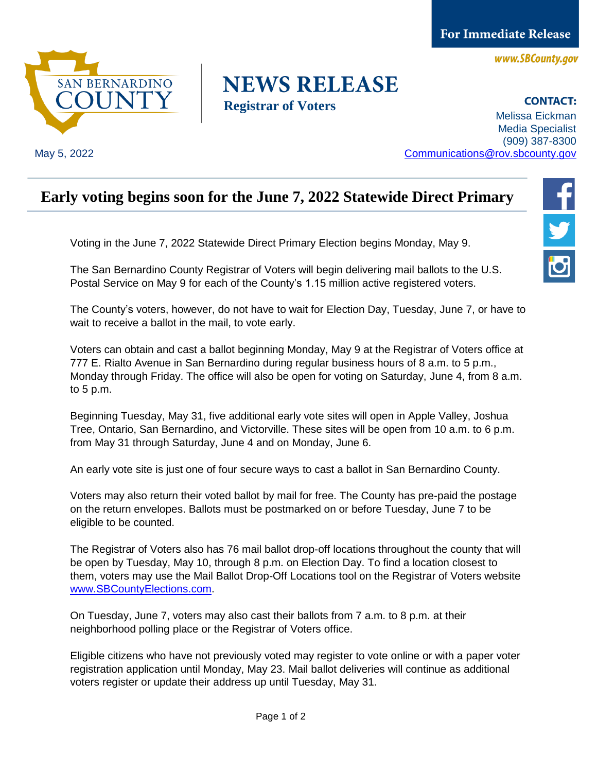**For Immediate Release** 

www.SBCounty.gov



May 5, 2022

## **NEWS RELEASE Registrar of Voters**

**CONTACT:** Melissa Eickman Media Specialist (909) 387-8300 [Communications@rov.sbcounty.gov](mailto:Communications@rov.sbcounty.gov)

## **Early voting begins soon for the June 7, 2022 Statewide Direct Primary**

Voting in the June 7, 2022 Statewide Direct Primary Election begins Monday, May 9.

The San Bernardino County Registrar of Voters will begin delivering mail ballots to the U.S. Postal Service on May 9 for each of the County's 1.15 million active registered voters.

The County's voters, however, do not have to wait for Election Day, Tuesday, June 7, or have to wait to receive a ballot in the mail, to vote early.

Voters can obtain and cast a ballot beginning Monday, May 9 at the Registrar of Voters office at 777 E. Rialto Avenue in San Bernardino during regular business hours of 8 a.m. to 5 p.m., Monday through Friday. The office will also be open for voting on Saturday, June 4, from 8 a.m. to 5 p.m.

Beginning Tuesday, May 31, five additional early vote sites will open in Apple Valley, Joshua Tree, Ontario, San Bernardino, and Victorville. These sites will be open from 10 a.m. to 6 p.m. from May 31 through Saturday, June 4 and on Monday, June 6.

An early vote site is just one of four secure ways to cast a ballot in San Bernardino County.

Voters may also return their voted ballot by mail for free. The County has pre-paid the postage on the return envelopes. Ballots must be postmarked on or before Tuesday, June 7 to be eligible to be counted.

The Registrar of Voters also has 76 mail ballot drop-off locations throughout the county that will be open by Tuesday, May 10, through 8 p.m. on Election Day. To find a location closest to them, voters may use the Mail Ballot Drop-Off Locations tool on the Registrar of Voters website [www.SBCountyElections.com.](file://///sbcounty.gov/rov/Admin/Communications/Media_Relations/2021/2021-09-14_CaliforniaGubernatorialRecallElection/PressRelease/www.SBCountyElections.com)

On Tuesday, June 7, voters may also cast their ballots from 7 a.m. to 8 p.m. at their neighborhood polling place or the Registrar of Voters office.

Eligible citizens who have not previously voted may register to vote online or with a paper voter registration application until Monday, May 23. Mail ballot deliveries will continue as additional voters register or update their address up until Tuesday, May 31.